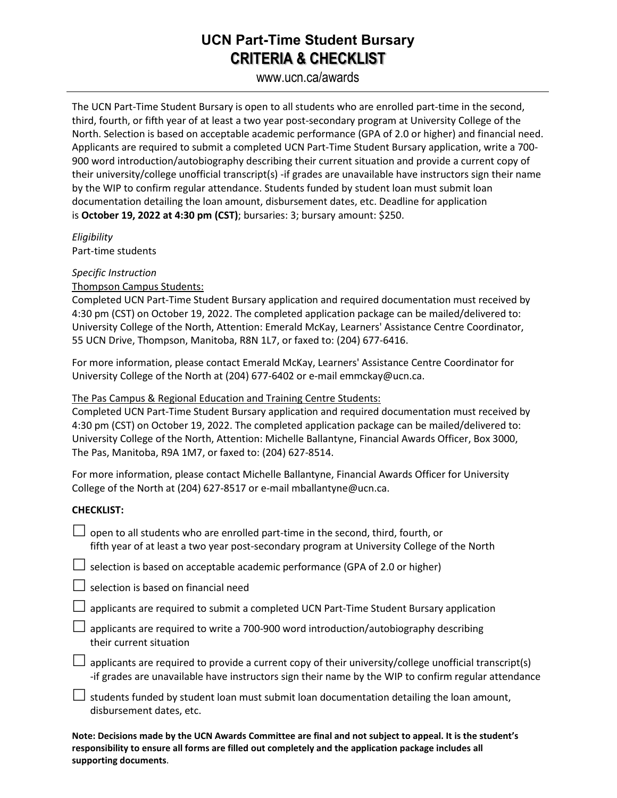## **UCN Part-Time Student Bursary CRITERIA & CHECKLIST**

www.ucn.ca/awards

The UCN Part-Time Student Bursary is open to all students who are enrolled part-time in the second, third, fourth, or fifth year of at least a two year post-secondary program at University College of the North. Selection is based on acceptable academic performance (GPA of 2.0 or higher) and financial need. Applicants are required to submit a completed UCN Part-Time Student Bursary application, write a 700- 900 word introduction/autobiography describing their current situation and provide a current copy of their university/college unofficial transcript(s) -if grades are unavailable have instructors sign their name by the WIP to confirm regular attendance. Students funded by student loan must submit loan documentation detailing the loan amount, disbursement dates, etc. Deadline for application is **October 19, 2022 at 4:30 pm (CST)**; bursaries: 3; bursary amount: \$250.

*Eligibility* Part-time students

*Specific Instruction*

Thompson Campus Students:

Completed UCN Part-Time Student Bursary application and required documentation must received by 4:30 pm (CST) on October 19, 2022. The completed application package can be mailed/delivered to: University College of the North, Attention: Emerald McKay, Learners' Assistance Centre Coordinator, 55 UCN Drive, Thompson, Manitoba, R8N 1L7, or faxed to: (204) 677-6416.

For more information, please contact Emerald McKay, Learners' Assistance Centre Coordinator for University College of the North at (204) 677-6402 or e-mail emmckay@ucn.ca.

## The Pas Campus & Regional Education and Training Centre Students:

Completed UCN Part-Time Student Bursary application and required documentation must received by 4:30 pm (CST) on October 19, 2022. The completed application package can be mailed/delivered to: University College of the North, Attention: Michelle Ballantyne, Financial Awards Officer, Box 3000, The Pas, Manitoba, R9A 1M7, or faxed to: (204) 627-8514.

For more information, please contact Michelle Ballantyne, Financial Awards Officer for University College of the North at (204) 627-8517 or e-mail mballantyne@ucn.ca.

## **CHECKLIST:**

| $\Box$ open to all students who are enrolled part-time in the second, third, fourth, or     |
|---------------------------------------------------------------------------------------------|
| fifth year of at least a two year post-secondary program at University College of the North |

 $\Box$  selection is based on acceptable academic performance (GPA of 2.0 or higher)

 $\Box$  selection is based on financial need

 $\Box$  applicants are required to submit a completed UCN Part-Time Student Bursary application

 $\Box$  applicants are required to write a 700-900 word introduction/autobiography describing their current situation

 $\Box$  applicants are required to provide a current copy of their university/college unofficial transcript(s) -if grades are unavailable have instructors sign their name by the WIP to confirm regular attendance

 $\Box$  students funded by student loan must submit loan documentation detailing the loan amount, disbursement dates, etc.

**Note: Decisions made by the UCN Awards Committee are final and not subject to appeal. It is the student's responsibility to ensure all forms are filled out completely and the application package includes all supporting documents**.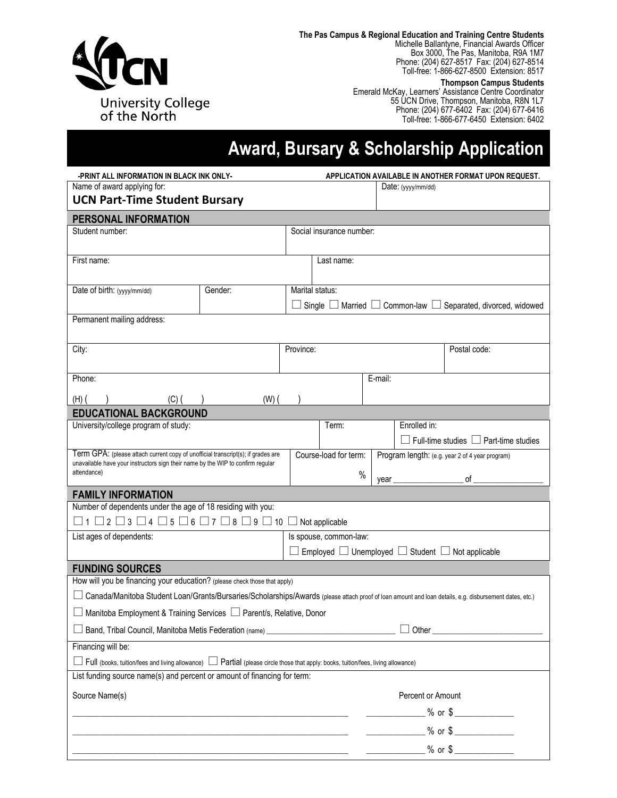

**The Pas Campus & Regional Education and Training Centre Students** Michelle Ballantyne, Financial Awards Officer Box 3000, The Pas, Manitoba, R9A 1M7 Phone: (204) 627-8517 Fax: (204) 627-8514 Toll-free: 1-866-627-8500 Extension: 8517

#### **Thompson Campus Students**

Emerald McKay, Learners' Assistance Centre Coordinator 55 UCN Drive, Thompson, Manitoba, R8N 1L7 Phone: (204) 677-6402 Fax: (204) 677-6416 Toll-free: 1-866-677-6450 Extension: 6402

# **Award, Bursary & Scholarship Application**

| -PRINT ALL INFORMATION IN BLACK INK ONLY-                                                                                                              |         | APPLICATION AVAILABLE IN ANOTHER FORMAT UPON REQUEST. |                                                                        |                                                                                    |              |                                                   |  |  |
|--------------------------------------------------------------------------------------------------------------------------------------------------------|---------|-------------------------------------------------------|------------------------------------------------------------------------|------------------------------------------------------------------------------------|--------------|---------------------------------------------------|--|--|
| Name of award applying for:                                                                                                                            |         |                                                       |                                                                        | Date: $(yyy/mm/dd)$                                                                |              |                                                   |  |  |
| <b>UCN Part-Time Student Bursary</b>                                                                                                                   |         |                                                       |                                                                        |                                                                                    |              |                                                   |  |  |
| PERSONAL INFORMATION                                                                                                                                   |         |                                                       |                                                                        |                                                                                    |              |                                                   |  |  |
| Student number:                                                                                                                                        |         |                                                       | Social insurance number:                                               |                                                                                    |              |                                                   |  |  |
|                                                                                                                                                        |         |                                                       |                                                                        |                                                                                    |              |                                                   |  |  |
| First name:                                                                                                                                            |         |                                                       | Last name:                                                             |                                                                                    |              |                                                   |  |  |
| Date of birth: (yyyy/mm/dd)                                                                                                                            | Gender: | Marital status:                                       |                                                                        |                                                                                    |              |                                                   |  |  |
|                                                                                                                                                        |         |                                                       |                                                                        | $\Box$ Single $\Box$ Married $\Box$ Common-law $\Box$ Separated, divorced, widowed |              |                                                   |  |  |
| Permanent mailing address:                                                                                                                             |         |                                                       |                                                                        |                                                                                    |              |                                                   |  |  |
|                                                                                                                                                        |         |                                                       |                                                                        |                                                                                    |              |                                                   |  |  |
| City:                                                                                                                                                  |         | Province:                                             |                                                                        |                                                                                    |              | Postal code:                                      |  |  |
|                                                                                                                                                        |         |                                                       |                                                                        |                                                                                    |              |                                                   |  |  |
| Phone:                                                                                                                                                 |         |                                                       |                                                                        | E-mail:                                                                            |              |                                                   |  |  |
| (H)<br>$(C)$ (                                                                                                                                         | $(W)$ ( |                                                       |                                                                        |                                                                                    |              |                                                   |  |  |
| <b>EDUCATIONAL BACKGROUND</b>                                                                                                                          |         |                                                       |                                                                        |                                                                                    |              |                                                   |  |  |
| University/college program of study:                                                                                                                   |         |                                                       | Term:                                                                  |                                                                                    | Enrolled in: |                                                   |  |  |
|                                                                                                                                                        |         |                                                       |                                                                        |                                                                                    |              | $\Box$ Full-time studies $\Box$ Part-time studies |  |  |
| Term GPA: (please attach current copy of unofficial transcript(s); if grades are                                                                       |         |                                                       | Course-load for term:                                                  |                                                                                    |              | Program length: (e.g. year 2 of 4 year program)   |  |  |
| unavailable have your instructors sign their name by the WIP to confirm regular<br>attendance)                                                         |         |                                                       | $\%$                                                                   |                                                                                    |              |                                                   |  |  |
|                                                                                                                                                        |         |                                                       |                                                                        |                                                                                    |              | of $\hspace{1.5cm}$                               |  |  |
| <b>FAMILY INFORMATION</b><br>Number of dependents under the age of 18 residing with you:                                                               |         |                                                       |                                                                        |                                                                                    |              |                                                   |  |  |
| $\Box$ 1 $\Box$ 2 $\Box$ 3 $\Box$ 4 $\Box$ 5 $\Box$ 6 $\Box$ 7 $\Box$ 8 $\Box$ 9 $\Box$ 10 $\Box$ Not applicable                                       |         |                                                       |                                                                        |                                                                                    |              |                                                   |  |  |
| List ages of dependents:                                                                                                                               |         |                                                       | Is spouse, common-law:                                                 |                                                                                    |              |                                                   |  |  |
|                                                                                                                                                        |         |                                                       | $\Box$ Employed $\Box$ Unemployed $\Box$ Student $\Box$ Not applicable |                                                                                    |              |                                                   |  |  |
| <b>FUNDING SOURCES</b>                                                                                                                                 |         |                                                       |                                                                        |                                                                                    |              |                                                   |  |  |
| How will you be financing your education? (please check those that apply)                                                                              |         |                                                       |                                                                        |                                                                                    |              |                                                   |  |  |
| Canada/Manitoba Student Loan/Grants/Bursaries/Scholarships/Awards (please attach proof of loan amount and loan details, e.g. disbursement dates, etc.) |         |                                                       |                                                                        |                                                                                    |              |                                                   |  |  |
| □ Manitoba Employment & Training Services □ Parent/s, Relative, Donor                                                                                  |         |                                                       |                                                                        |                                                                                    |              |                                                   |  |  |
| Band, Tribal Council, Manitoba Metis Federation (name) _________________________                                                                       |         |                                                       |                                                                        |                                                                                    |              |                                                   |  |  |
| Financing will be:                                                                                                                                     |         |                                                       |                                                                        |                                                                                    |              |                                                   |  |  |
| Full (books, tuition/fees and living allowance) $\Box$ Partial (please circle those that apply: books, tuition/fees, living allowance)                 |         |                                                       |                                                                        |                                                                                    |              |                                                   |  |  |
| List funding source name(s) and percent or amount of financing for term:                                                                               |         |                                                       |                                                                        |                                                                                    |              |                                                   |  |  |
| Source Name(s)                                                                                                                                         |         |                                                       |                                                                        | Percent or Amount                                                                  |              |                                                   |  |  |
|                                                                                                                                                        |         |                                                       |                                                                        |                                                                                    |              | $\frac{9}{6}$ or \$                               |  |  |
|                                                                                                                                                        |         |                                                       |                                                                        |                                                                                    |              | $\frac{9}{6}$ or \$                               |  |  |
|                                                                                                                                                        |         |                                                       |                                                                        |                                                                                    |              |                                                   |  |  |
|                                                                                                                                                        |         |                                                       |                                                                        |                                                                                    |              | $\frac{1}{2}$ % or \$ $\frac{1}{2}$               |  |  |